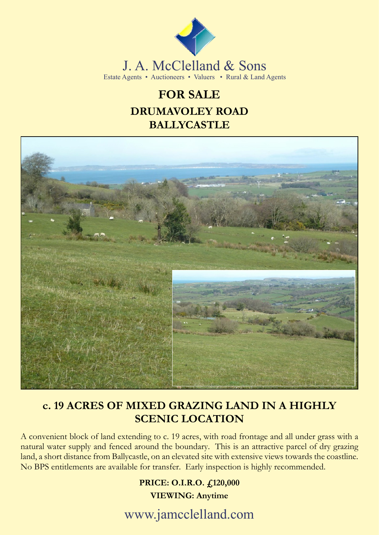

## **FOR SALE DRUMAVOLEY ROAD BALLYCASTLE**



## **c. 19 ACRES OF MIXED GRAZING LAND IN A HIGHLY SCENIC LOCATION**

A convenient block of land extending to c. 19 acres, with road frontage and all under grass with a natural water supply and fenced around the boundary. This is an attractive parcel of dry grazing land, a short distance from Ballycastle, on an elevated site with extensive views towards the coastline. No BPS entitlements are available for transfer. Early inspection is highly recommended.

### **PRICE: O.I.R.O. £120,000 VIEWING: Anytime**

www.jamcclelland.com